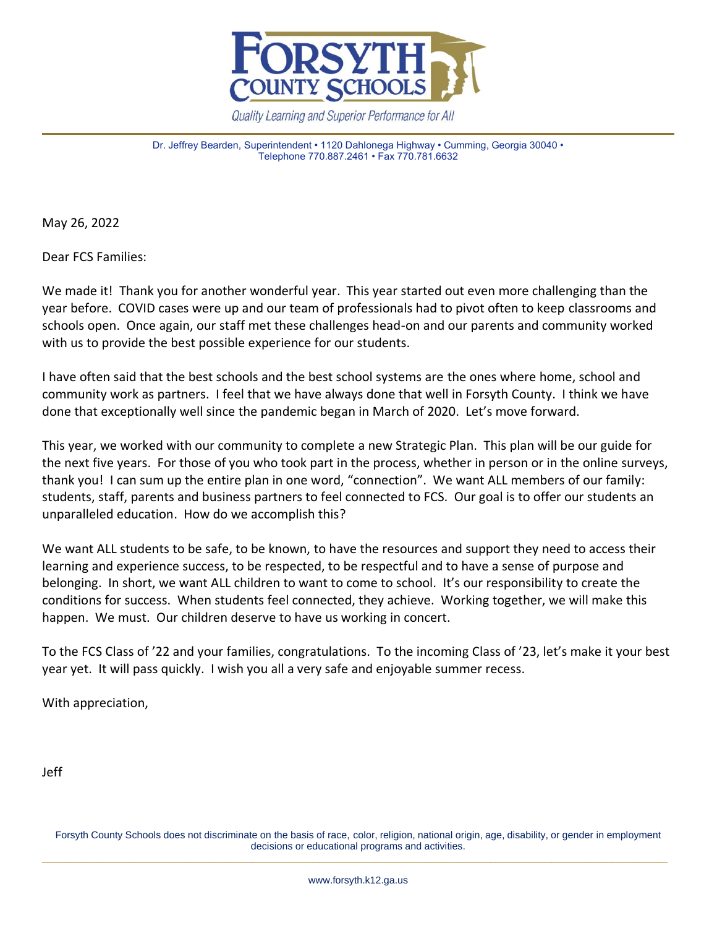

Quality Learning and Superior Performance for All

Dr. Jeffrey Bearden, Superintendent • 1120 Dahlonega Highway • Cumming, Georgia 30040 • Telephone 770.887.2461 • Fax 770.781.6632

May 26, 2022

Dear FCS Families:

We made it! Thank you for another wonderful year. This year started out even more challenging than the year before. COVID cases were up and our team of professionals had to pivot often to keep classrooms and schools open. Once again, our staff met these challenges head-on and our parents and community worked with us to provide the best possible experience for our students.

I have often said that the best schools and the best school systems are the ones where home, school and community work as partners. I feel that we have always done that well in Forsyth County. I think we have done that exceptionally well since the pandemic began in March of 2020. Let's move forward.

This year, we worked with our community to complete a new Strategic Plan. This plan will be our guide for the next five years. For those of you who took part in the process, whether in person or in the online surveys, thank you! I can sum up the entire plan in one word, "connection". We want ALL members of our family: students, staff, parents and business partners to feel connected to FCS. Our goal is to offer our students an unparalleled education. How do we accomplish this?

We want ALL students to be safe, to be known, to have the resources and support they need to access their learning and experience success, to be respected, to be respectful and to have a sense of purpose and belonging. In short, we want ALL children to want to come to school. It's our responsibility to create the conditions for success. When students feel connected, they achieve. Working together, we will make this happen. We must. Our children deserve to have us working in concert.

To the FCS Class of '22 and your families, congratulations. To the incoming Class of '23, let's make it your best year yet. It will pass quickly. I wish you all a very safe and enjoyable summer recess.

With appreciation,

Jeff

Forsyth County Schools does not discriminate on the basis of race, color, religion, national origin, age, disability, or gender in employment decisions or educational programs and activities. \_\_\_\_\_\_\_\_\_\_\_\_\_\_\_\_\_\_\_\_\_\_\_\_\_\_\_\_\_\_\_\_\_\_\_\_\_\_\_\_\_\_\_\_\_\_\_\_\_\_\_\_\_\_\_\_\_\_\_\_\_\_\_\_\_\_\_\_\_\_\_\_\_\_\_\_\_\_\_\_\_\_\_\_\_\_\_\_\_\_\_\_\_\_\_\_\_\_\_\_\_\_\_\_\_\_\_\_\_\_\_\_\_